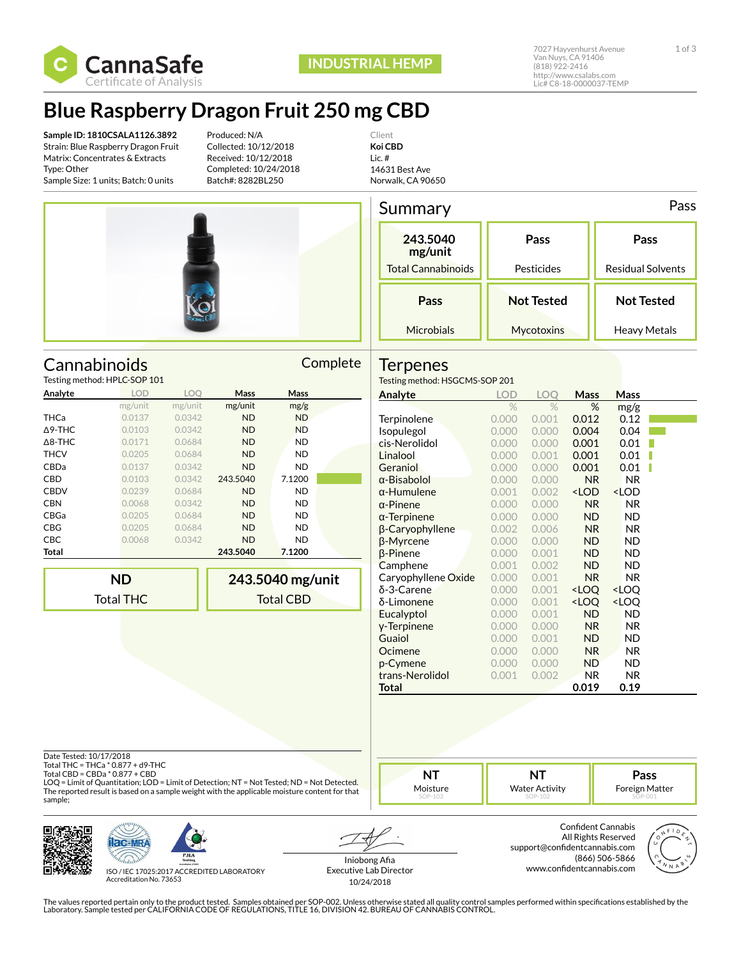

## **Blue Raspberry Dragon Fruit 250 mg CBD**

**Sample ID: 1810CSALA1126.3892** Strain: Blue Raspberry Dragon Fruit Matrix: Concentrates & Extracts Type: Other Sample Size: 1 units; Batch: 0 units

Produced: N/A Collected: 10/12/2018 Received: 10/12/2018 Completed: 10/24/2018 Batch#: 8282BL250

Client **Koi CBD** Lic. # 14631 Best Ave Norwalk, CA 90650



Cannabinoids Complete

| Summary                   | Pass              |                          |
|---------------------------|-------------------|--------------------------|
| 243.5040<br>mg/unit       | Pass              | Pass                     |
| <b>Total Cannabinoids</b> | Pesticides        | <b>Residual Solvents</b> |
| Pass                      | <b>Not Tested</b> | <b>Not Tested</b>        |
| Microbials                | Mycotoxins        | Heavy Metals             |

### **Terpenes**

| Testing method: HPLC-SOP 101 |            |            |             |             |  |  |
|------------------------------|------------|------------|-------------|-------------|--|--|
| Analyte                      | <b>LOD</b> | <b>LOO</b> | <b>Mass</b> | <b>Mass</b> |  |  |
|                              | mg/unit    | mg/unit    | mg/unit     | mg/g        |  |  |
| THCa                         | 0.0137     | 0.0342     | <b>ND</b>   | <b>ND</b>   |  |  |
| $\Delta$ 9-THC               | 0.0103     | 0.0342     | <b>ND</b>   | <b>ND</b>   |  |  |
| $\Delta$ 8-THC               | 0.0171     | 0.0684     | <b>ND</b>   | <b>ND</b>   |  |  |
| <b>THCV</b>                  | 0.0205     | 0.0684     | <b>ND</b>   | <b>ND</b>   |  |  |
| CBDa                         | 0.0137     | 0.0342     | <b>ND</b>   | <b>ND</b>   |  |  |
| <b>CBD</b>                   | 0.0103     | 0.0342     | 243.5040    | 7.1200      |  |  |
| <b>CBDV</b>                  | 0.0239     | 0.0684     | <b>ND</b>   | <b>ND</b>   |  |  |
| <b>CBN</b>                   | 0.0068     | 0.0342     | <b>ND</b>   | ND          |  |  |
| CBGa                         | 0.0205     | 0.0684     | <b>ND</b>   | <b>ND</b>   |  |  |
| <b>CBG</b>                   | 0.0205     | 0.0684     | <b>ND</b>   | ND          |  |  |
| <b>CBC</b>                   | 0.0068     | 0.0342     | <b>ND</b>   | ND          |  |  |
| Total                        |            |            | 243.5040    | 7.1200      |  |  |
|                              |            |            |             |             |  |  |

**ND** Total THC **243.5040 mg/unit** Total CBD

| Testing method: HSGCMS-SOP 201 |            |            |                                                          |                              |  |  |  |  |
|--------------------------------|------------|------------|----------------------------------------------------------|------------------------------|--|--|--|--|
| Analyte                        | <b>LOD</b> | <b>LOO</b> | Mass                                                     | Mass                         |  |  |  |  |
|                                | %          | $\%$       | %                                                        | mg/g                         |  |  |  |  |
| Terpinolene                    | 0.000      | 0.001      | 0.012                                                    | 0.12                         |  |  |  |  |
| Isopulegol                     | 0.000      | 0.000      | 0.004                                                    | 0.04                         |  |  |  |  |
| cis-Nerolidol                  | 0.000      | 0.000      | 0.001                                                    | 0.01                         |  |  |  |  |
| Linalool                       | 0.000      | 0.001      | 0.001                                                    | 0.01                         |  |  |  |  |
| Geraniol                       | 0.000      | 0.000      | 0.001                                                    | 0.01                         |  |  |  |  |
| α-Bisabolol                    | 0.000      | 0.000      | <b>NR</b>                                                | NR.                          |  |  |  |  |
| α-Humulene                     | 0.001      | 0.002      | <lod< th=""><th><lod< th=""><th></th></lod<></th></lod<> | <lod< th=""><th></th></lod<> |  |  |  |  |
| $\alpha$ -Pinene               | 0.000      | 0.000      | <b>NR</b>                                                | NR.                          |  |  |  |  |
| $\alpha$ -Terpinene            | 0.000      | 0.000      | ND                                                       | ND                           |  |  |  |  |
| β-Caryophyllene                | 0.002      | 0.006      | N <sub>R</sub>                                           | NR.                          |  |  |  |  |
| β-Myrcene                      | 0.000      | 0.000      | <b>ND</b>                                                | ND                           |  |  |  |  |
| $\beta$ -Pinene                | 0.000      | 0.001      | <b>ND</b>                                                | ND                           |  |  |  |  |
| Camphene                       | 0.001      | 0.002      | ND.                                                      | ND                           |  |  |  |  |
| Caryophyllene Oxide            | 0.000      | 0.001      | <b>NR</b>                                                | <b>NR</b>                    |  |  |  |  |
| δ-3-Carene                     | 0.000      | 0.001      | <loq< th=""><th><loq< th=""><th></th></loq<></th></loq<> | <loq< th=""><th></th></loq<> |  |  |  |  |
| δ-Limonene                     | 0.000      | 0.001      | <loq< th=""><th><loq< th=""><th></th></loq<></th></loq<> | <loq< th=""><th></th></loq<> |  |  |  |  |
| Eucalyptol                     | 0.000      | 0.001      | <b>ND</b>                                                | ND                           |  |  |  |  |
| y-Terpinene                    | 0.000      | 0.000      | N <sub>R</sub>                                           | NR.                          |  |  |  |  |
| Guaiol                         | 0.000      | 0.001      | ND.                                                      | <b>ND</b>                    |  |  |  |  |
| Ocimene                        | 0.000      | 0.000      | <b>NR</b>                                                | <b>NR</b>                    |  |  |  |  |
| p-Cymene                       | 0.000      | 0.000      | <b>ND</b>                                                | ND                           |  |  |  |  |
| trans-Nerolidol                | 0.001      | 0.002      | <b>NR</b>                                                | <b>NR</b>                    |  |  |  |  |
| Total                          |            |            | 0.019                                                    | 0.19                         |  |  |  |  |

Date Tested: 10/17/2018

Total THC = THCa \* 0.877 + d9-THC Total CBD = CBDa \* 0.877 + CBD

LOQ = Limit of Quantitation; LOD = Limit of Detection; NT = Not Tested; ND = Not Detected. The reported result is based on a sample weight with the applicable moisture content for that sample;





ISO / IEC 17025:2017 ACCREDITED LABORATORY Accreditation No. 73653

Iniobong Afia Executive Lab Director 10/24/2018

**NT** Moisture

> Confident Cannabis All Rights Reserved support@confidentcannabis.com (866) 506-5866 www.confidentcannabis.com

**NT** Water Activity



**Pass** Foreign Matter

The values reported pertain only to the product tested. Samples obtained per SOP-002. Unless otherwise stated all quality control samples performed within specifications established by the<br>Laboratory. Sample tested per CAL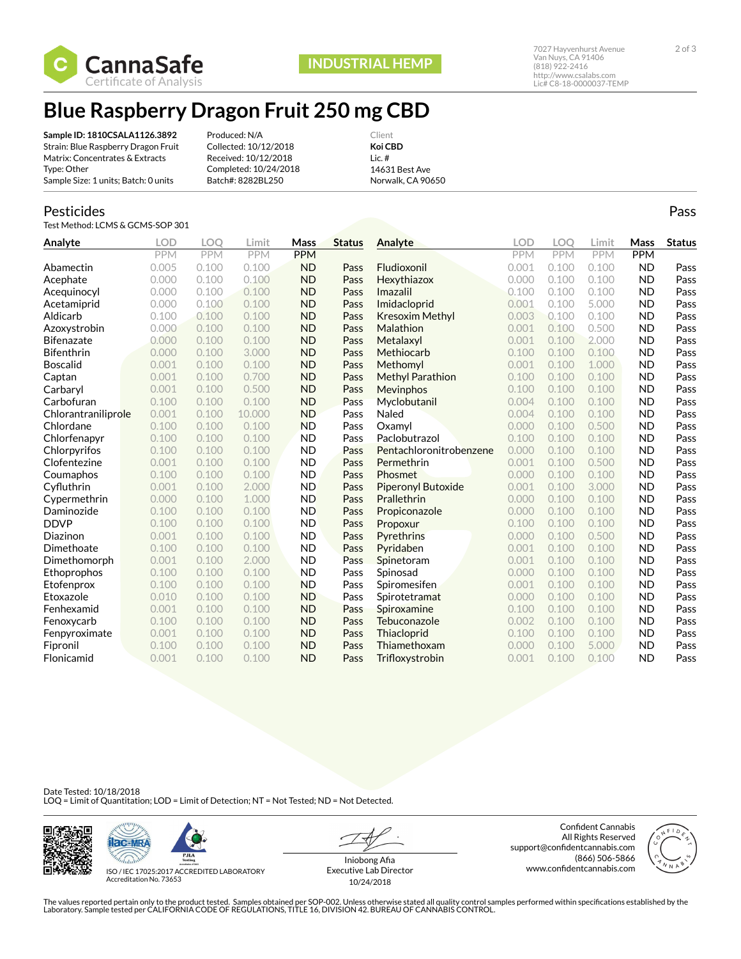

## **Blue Raspberry Dragon Fruit 250 mg CBD**

**Sample ID: 1810CSALA1126.3892** Strain: Blue Raspberry Dragon Fruit Matrix: Concentrates & Extracts Type: Other Sample Size: 1 units; Batch: 0 units

Produced: N/A Collected: 10/12/2018 Received: 10/12/2018 Completed: 10/24/2018 Batch#: 8282BL250

Client **Koi CBD** Lic. # 14631 Best Ave Norwalk, CA 90650

### Pesticides

Test Method: LCMS & GCMS-SOP 301

| Analyte             | <b>LOD</b> | LOO        | Limit      | Mass       | <b>Status</b> | Analyte                 | LOD        | LOO        | Limit      | Mass       | <b>Status</b> |
|---------------------|------------|------------|------------|------------|---------------|-------------------------|------------|------------|------------|------------|---------------|
|                     | <b>PPM</b> | <b>PPM</b> | <b>PPM</b> | <b>PPM</b> |               |                         | <b>PPM</b> | <b>PPM</b> | <b>PPM</b> | <b>PPM</b> |               |
| Abamectin           | 0.005      | 0.100      | 0.100      | <b>ND</b>  | Pass          | Fludioxonil             | 0.001      | 0.100      | 0.100      | <b>ND</b>  | Pass          |
| Acephate            | 0.000      | 0.100      | 0.100      | <b>ND</b>  | Pass          | Hexythiazox             | 0.000      | 0.100      | 0.100      | <b>ND</b>  | Pass          |
| Acequinocyl         | 0.000      | 0.100      | 0.100      | <b>ND</b>  | Pass          | Imazalil                | 0.100      | 0.100      | 0.100      | <b>ND</b>  | Pass          |
| Acetamiprid         | 0.000      | 0.100      | 0.100      | <b>ND</b>  | Pass          | Imidacloprid            | 0.001      | 0.100      | 5.000      | <b>ND</b>  | Pass          |
| Aldicarb            | 0.100      | 0.100      | 0.100      | <b>ND</b>  | Pass          | Kresoxim Methyl         | 0.003      | 0.100      | 0.100      | <b>ND</b>  | Pass          |
| Azoxystrobin        | 0.000      | 0.100      | 0.100      | <b>ND</b>  | Pass          | Malathion               | 0.001      | 0.100      | 0.500      | <b>ND</b>  | Pass          |
| <b>Bifenazate</b>   | 0.000      | 0.100      | 0.100      | <b>ND</b>  | Pass          | Metalaxyl               | 0.001      | 0.100      | 2.000      | <b>ND</b>  | Pass          |
| <b>Bifenthrin</b>   | 0.000      | 0.100      | 3.000      | <b>ND</b>  | Pass          | Methiocarb              | 0.100      | 0.100      | 0.100      | <b>ND</b>  | Pass          |
| <b>Boscalid</b>     | 0.001      | 0.100      | 0.100      | <b>ND</b>  | Pass          | Methomyl                | 0.001      | 0.100      | 1.000      | <b>ND</b>  | Pass          |
| Captan              | 0.001      | 0.100      | 0.700      | <b>ND</b>  | Pass          | <b>Methyl Parathion</b> | 0.100      | 0.100      | 0.100      | <b>ND</b>  | Pass          |
| Carbaryl            | 0.001      | 0.100      | 0.500      | <b>ND</b>  | Pass          | Mevinphos               | 0.100      | 0.100      | 0.100      | <b>ND</b>  | Pass          |
| Carbofuran          | 0.100      | 0.100      | 0.100      | <b>ND</b>  | Pass          | Myclobutanil            | 0.004      | 0.100      | 0.100      | <b>ND</b>  | Pass          |
| Chlorantraniliprole | 0.001      | 0.100      | 10.000     | <b>ND</b>  | Pass          | Naled                   | 0.004      | 0.100      | 0.100      | <b>ND</b>  | Pass          |
| Chlordane           | 0.100      | 0.100      | 0.100      | <b>ND</b>  | Pass          | Oxamvl                  | 0.000      | 0.100      | 0.500      | <b>ND</b>  | Pass          |
| Chlorfenapyr        | 0.100      | 0.100      | 0.100      | <b>ND</b>  | Pass          | Paclobutrazol           | 0.100      | 0.100      | 0.100      | <b>ND</b>  | Pass          |
| Chlorpyrifos        | 0.100      | 0.100      | 0.100      | <b>ND</b>  | Pass          | Pentachloronitrobenzene | 0.000      | 0.100      | 0.100      | <b>ND</b>  | Pass          |
| Clofentezine        | 0.001      | 0.100      | 0.100      | <b>ND</b>  | Pass          | Permethrin              | 0.001      | 0.100      | 0.500      | <b>ND</b>  | Pass          |
| Coumaphos           | 0.100      | 0.100      | 0.100      | <b>ND</b>  | Pass          | Phosmet                 | 0.000      | 0.100      | 0.100      | <b>ND</b>  | Pass          |
| Cyfluthrin          | 0.001      | 0.100      | 2.000      | <b>ND</b>  | Pass          | Piperonyl Butoxide      | 0.001      | 0.100      | 3.000      | <b>ND</b>  | Pass          |
| Cypermethrin        | 0.000      | 0.100      | 1.000      | <b>ND</b>  | Pass          | Prallethrin             | 0.000      | 0.100      | 0.100      | <b>ND</b>  | Pass          |
| Daminozide          | 0.100      | 0.100      | 0.100      | <b>ND</b>  | Pass          | Propiconazole           | 0.000      | 0.100      | 0.100      | <b>ND</b>  | Pass          |
| <b>DDVP</b>         | 0.100      | 0.100      | 0.100      | <b>ND</b>  | Pass          | Propoxur                | 0.100      | 0.100      | 0.100      | <b>ND</b>  | Pass          |
| Diazinon            | 0.001      | 0.100      | 0.100      | <b>ND</b>  | Pass          | Pyrethrins              | 0.000      | 0.100      | 0.500      | <b>ND</b>  | Pass          |
| Dimethoate          | 0.100      | 0.100      | 0.100      | <b>ND</b>  | Pass          | Pyridaben               | 0.001      | 0.100      | 0.100      | <b>ND</b>  | Pass          |
| Dimethomorph        | 0.001      | 0.100      | 2.000      | <b>ND</b>  | Pass          | Spinetoram              | 0.001      | 0.100      | 0.100      | <b>ND</b>  | Pass          |
| Ethoprophos         | 0.100      | 0.100      | 0.100      | <b>ND</b>  | Pass          | Spinosad                | 0.000      | 0.100      | 0.100      | <b>ND</b>  | Pass          |
| Etofenprox          | 0.100      | 0.100      | 0.100      | <b>ND</b>  | Pass          | Spiromesifen            | 0.001      | 0.100      | 0.100      | <b>ND</b>  | Pass          |
| Etoxazole           | 0.010      | 0.100      | 0.100      | <b>ND</b>  | Pass          | Spirotetramat           | 0.000      | 0.100      | 0.100      | <b>ND</b>  | Pass          |
| Fenhexamid          | 0.001      | 0.100      | 0.100      | <b>ND</b>  | Pass          | Spiroxamine             | 0.100      | 0.100      | 0.100      | <b>ND</b>  | Pass          |
| Fenoxycarb          | 0.100      | 0.100      | 0.100      | <b>ND</b>  | Pass          | Tebuconazole            | 0.002      | 0.100      | 0.100      | <b>ND</b>  | Pass          |
| Fenpyroximate       | 0.001      | 0.100      | 0.100      | <b>ND</b>  | Pass          | Thiacloprid             | 0.100      | 0.100      | 0.100      | <b>ND</b>  | Pass          |
| Fipronil            | 0.100      | 0.100      | 0.100      | <b>ND</b>  | Pass          | Thiamethoxam            | 0.000      | 0.100      | 5.000      | <b>ND</b>  | Pass          |
| Flonicamid          | 0.001      | 0.100      | 0.100      | <b>ND</b>  | Pass          | Trifloxystrobin         | 0.001      | 0.100      | 0.100      | <b>ND</b>  | Pass          |

#### Date Tested: 10/18/2018 LOQ = Limit of Quantitation; LOD = Limit of Detection; NT = Not Tested; ND = Not Detected.





ISO / IEC 17025:2017 ACCREDITED LABORATORY Accreditation No. 73653

Iniobong Afia Executive Lab Director 10/24/2018

Confident Cannabis All Rights Reserved support@confidentcannabis.com (866) 506-5866 www.confidentcannabis.com



http://www.csalabs.com Lic# C8-18-0000037-TEMP

The values reported pertain only to the product tested. Samples obtained per SOP-002. Unless otherwise stated all quality control samples performed within specifications established by the<br>Laboratory. Sample tested per CAL

Pass